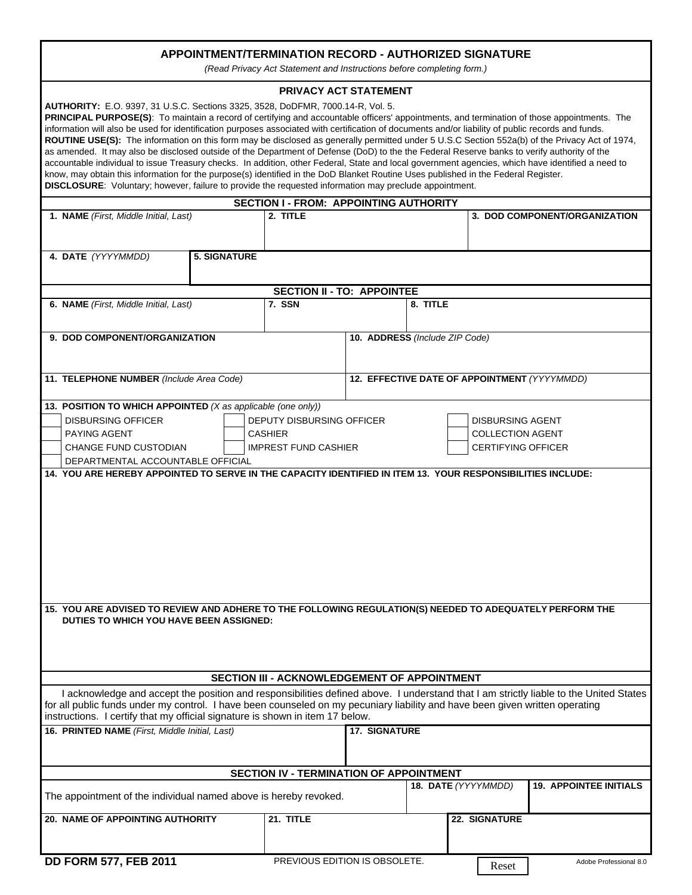## **APPOINTMENT/TERMINATION RECORD - AUTHORIZED SIGNATURE**

*(Read Privacy Act Statement and Instructions before completing form.)*

# **PRIVACY ACT STATEMENT**

| <b>AUTHORITY: E.O. 9397, 31 U.S.C. Sections 3325, 3528, DoDFMR, 7000.14-R, Vol. 5.</b><br>PRINCIPAL PURPOSE(S): To maintain a record of certifying and accountable officers' appointments, and termination of those appointments. The<br>information will also be used for identification purposes associated with certification of documents and/or liability of public records and funds.<br>ROUTINE USE(S): The information on this form may be disclosed as generally permitted under 5 U.S.C Section 552a(b) of the Privacy Act of 1974,<br>as amended. It may also be disclosed outside of the Department of Defense (DoD) to the the Federal Reserve banks to verify authority of the<br>accountable individual to issue Treasury checks. In addition, other Federal, State and local government agencies, which have identified a need to<br>know, may obtain this information for the purpose(s) identified in the DoD Blanket Routine Uses published in the Federal Register.<br>DISCLOSURE: Voluntary; however, failure to provide the requested information may preclude appointment. |                                   |                                |                                                                                 |                                                      |  |               |                               |
|---------------------------------------------------------------------------------------------------------------------------------------------------------------------------------------------------------------------------------------------------------------------------------------------------------------------------------------------------------------------------------------------------------------------------------------------------------------------------------------------------------------------------------------------------------------------------------------------------------------------------------------------------------------------------------------------------------------------------------------------------------------------------------------------------------------------------------------------------------------------------------------------------------------------------------------------------------------------------------------------------------------------------------------------------------------------------------------------------|-----------------------------------|--------------------------------|---------------------------------------------------------------------------------|------------------------------------------------------|--|---------------|-------------------------------|
| <b>SECTION I - FROM: APPOINTING AUTHORITY</b>                                                                                                                                                                                                                                                                                                                                                                                                                                                                                                                                                                                                                                                                                                                                                                                                                                                                                                                                                                                                                                                     |                                   |                                |                                                                                 |                                                      |  |               |                               |
| 1. NAME (First, Middle Initial, Last)                                                                                                                                                                                                                                                                                                                                                                                                                                                                                                                                                                                                                                                                                                                                                                                                                                                                                                                                                                                                                                                             |                                   | 2. TITLE                       |                                                                                 |                                                      |  |               | 3. DOD COMPONENT/ORGANIZATION |
| 4. DATE (YYYYMMDD)<br><b>5. SIGNATURE</b>                                                                                                                                                                                                                                                                                                                                                                                                                                                                                                                                                                                                                                                                                                                                                                                                                                                                                                                                                                                                                                                         |                                   |                                |                                                                                 |                                                      |  |               |                               |
|                                                                                                                                                                                                                                                                                                                                                                                                                                                                                                                                                                                                                                                                                                                                                                                                                                                                                                                                                                                                                                                                                                   | <b>SECTION II - TO: APPOINTEE</b> |                                |                                                                                 |                                                      |  |               |                               |
| 6. NAME (First, Middle Initial, Last)                                                                                                                                                                                                                                                                                                                                                                                                                                                                                                                                                                                                                                                                                                                                                                                                                                                                                                                                                                                                                                                             |                                   | 8. TITLE<br>7. SSN             |                                                                                 |                                                      |  |               |                               |
| 9. DOD COMPONENT/ORGANIZATION                                                                                                                                                                                                                                                                                                                                                                                                                                                                                                                                                                                                                                                                                                                                                                                                                                                                                                                                                                                                                                                                     |                                   | 10. ADDRESS (Include ZIP Code) |                                                                                 |                                                      |  |               |                               |
| 11. TELEPHONE NUMBER (Include Area Code)                                                                                                                                                                                                                                                                                                                                                                                                                                                                                                                                                                                                                                                                                                                                                                                                                                                                                                                                                                                                                                                          |                                   |                                | 12. EFFECTIVE DATE OF APPOINTMENT (YYYYMMDD)                                    |                                                      |  |               |                               |
| 13. POSITION TO WHICH APPOINTED $(X$ as applicable (one only))<br>DEPUTY DISBURSING OFFICER<br><b>DISBURSING OFFICER</b><br><b>PAYING AGENT</b><br><b>CASHIER</b><br><b>CHANGE FUND CUSTODIAN</b><br><b>IMPREST FUND CASHIER</b><br>DEPARTMENTAL ACCOUNTABLE OFFICIAL<br>14. YOU ARE HEREBY APPOINTED TO SERVE IN THE CAPACITY IDENTIFIED IN ITEM 13. YOUR RESPONSIBILITIES INCLUDE:                                                                                                                                                                                                                                                                                                                                                                                                                                                                                                                                                                                                                                                                                                              |                                   |                                | <b>DISBURSING AGENT</b><br><b>COLLECTION AGENT</b><br><b>CERTIFYING OFFICER</b> |                                                      |  |               |                               |
|                                                                                                                                                                                                                                                                                                                                                                                                                                                                                                                                                                                                                                                                                                                                                                                                                                                                                                                                                                                                                                                                                                   |                                   |                                |                                                                                 |                                                      |  |               |                               |
| 15. YOU ARE ADVISED TO REVIEW AND ADHERE TO THE FOLLOWING REGULATION(S) NEEDED TO ADEQUATELY PERFORM THE<br>DUTIES TO WHICH YOU HAVE BEEN ASSIGNED:                                                                                                                                                                                                                                                                                                                                                                                                                                                                                                                                                                                                                                                                                                                                                                                                                                                                                                                                               |                                   |                                |                                                                                 |                                                      |  |               |                               |
| SECTION III - ACKNOWLEDGEMENT OF APPOINTMENT                                                                                                                                                                                                                                                                                                                                                                                                                                                                                                                                                                                                                                                                                                                                                                                                                                                                                                                                                                                                                                                      |                                   |                                |                                                                                 |                                                      |  |               |                               |
| I acknowledge and accept the position and responsibilities defined above. I understand that I am strictly liable to the United States<br>for all public funds under my control. I have been counseled on my pecuniary liability and have been given written operating<br>instructions. I certify that my official signature is shown in item 17 below.                                                                                                                                                                                                                                                                                                                                                                                                                                                                                                                                                                                                                                                                                                                                            |                                   |                                |                                                                                 |                                                      |  |               |                               |
| 16. PRINTED NAME (First, Middle Initial, Last)<br><b>17. SIGNATURE</b>                                                                                                                                                                                                                                                                                                                                                                                                                                                                                                                                                                                                                                                                                                                                                                                                                                                                                                                                                                                                                            |                                   |                                |                                                                                 |                                                      |  |               |                               |
| <b>SECTION IV - TERMINATION OF APPOINTMENT</b>                                                                                                                                                                                                                                                                                                                                                                                                                                                                                                                                                                                                                                                                                                                                                                                                                                                                                                                                                                                                                                                    |                                   |                                |                                                                                 |                                                      |  |               |                               |
| The appointment of the individual named above is hereby revoked.                                                                                                                                                                                                                                                                                                                                                                                                                                                                                                                                                                                                                                                                                                                                                                                                                                                                                                                                                                                                                                  |                                   |                                |                                                                                 | 18. DATE (YYYYMMDD)<br><b>19. APPOINTEE INITIALS</b> |  |               |                               |
| 20. NAME OF APPOINTING AUTHORITY                                                                                                                                                                                                                                                                                                                                                                                                                                                                                                                                                                                                                                                                                                                                                                                                                                                                                                                                                                                                                                                                  |                                   | 21. TITLE                      |                                                                                 |                                                      |  | 22. SIGNATURE |                               |
| <b>DD FORM 577, FEB 2011</b>                                                                                                                                                                                                                                                                                                                                                                                                                                                                                                                                                                                                                                                                                                                                                                                                                                                                                                                                                                                                                                                                      |                                   | PREVIOUS EDITION IS OBSOLETE.  |                                                                                 |                                                      |  | Reset         | Adobe Professional 8.0        |